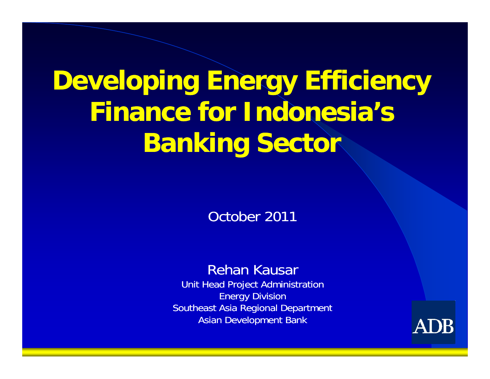# **Devel i ffi i loping Energy E ng Effi ciency Finance for Indonesia s s' Banking Sector**

October 2011

#### Rehan Kausar

Unit Head Project Administration Energy Division Southeast Asia Regional Department Asian Development Bank

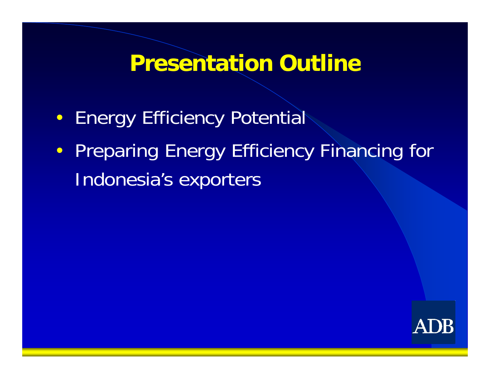# **Presentation Outline**

- Energy Efficiency Potential
- Preparing Energy Efficiency Financing for Indonesia's exporters

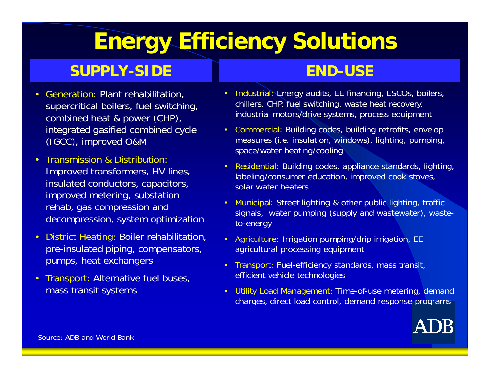# **Energy Efficiency Solutions**

#### **SUPPLY SIDE -SIDE**

- Generation: Plant rehabilitation, supercritical boilers, fuel switching, combined heat & power (CHP) integrated gasified combined cycle (IGCC), improved O&M
- $\bullet$  Transmission & Distribution: Improved transformers, HV lines, insulated conductors, capacitors, improved metering, substation rehab, gas compression and decompression, system optimization
- District Heating: Boiler rehabilitation, pre-insulated piping, compensators, pumps, heat exchangers
- $\bullet$  Transport: Alternative fuel buses, mass transit systems

#### **END USE END-USE**

- Industrial: Energy audits, EE financing, ESCOs, boilers, chillers, CHP, fuel switching, waste heat recovery, d heat & power (CHP), and industrial motors/drive systems, process equipment
	- Commercial: Building codes, building retrofits, envelop measures (i.e. insulation, windows), lighting, pumping, space/water heating/cooling
	- Residential: Building codes, appliance standards, lighting, labeling/consumer education, improved cook stoves, solar water heaters
	- Municipal: Street lighting & other public lighting, traffic signals, water pumping (supply and wastewater), wasteto-energy
	- Agriculture: Irrigation pumping/drip irrigation, EE agricultural processing equipment
	- Transport: Fuel-efficiency standards, mass transit, efficient vehicle technologies
	- Utility Load Management: Time-of-use metering, demand charges, direct load control, demand response programs



Source: ADB and World Bank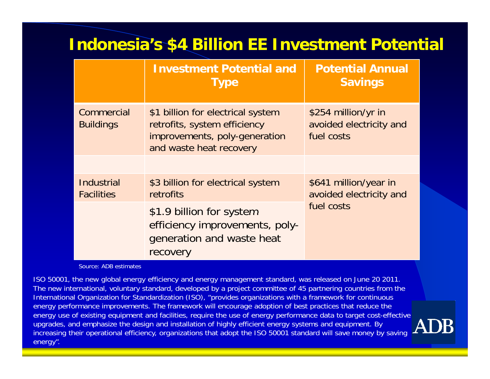## **Indonesia's \$4 Billion EE Investment Potential**

|                                        | <b>Investment Potential and</b><br><b>Type</b>                                                                                | <b>Potential Annual</b><br><b>Savings</b>                      |
|----------------------------------------|-------------------------------------------------------------------------------------------------------------------------------|----------------------------------------------------------------|
| Commercial<br><b>Buildings</b>         | \$1 billion for electrical system<br>retrofits, system efficiency<br>improvements, poly-generation<br>and waste heat recovery | \$254 million/yr in<br>avoided electricity and<br>fuel costs   |
|                                        |                                                                                                                               |                                                                |
| <b>Industrial</b><br><b>Facilities</b> | \$3 billion for electrical system<br>retrofits                                                                                | \$641 million/year in<br>avoided electricity and<br>fuel costs |
|                                        | \$1.9 billion for system<br>efficiency improvements, poly-<br>generation and waste heat<br>recovery                           |                                                                |

Source: ADB estimates

ISO 50001, the new global energy efficiency and energy management standard, was released on June 20 2011. The new international, voluntary standard, developed by a project committee of 45 partnering countries from the International Organization for Standardization (ISO), "provides organizations with a framework for continuous energy performance improvements. The framework will encourage adoption of best practices that reduce the energy use of existing equipment and facilities, require the use of energy performance data to target cost-effective upgrades, and emphasize the design and installation of highly efficient energy systems and equipment. By increasing their operational efficiency, organizations that adopt the ISO 50001 standard will save money by saving energy".

 $\operatorname{ADB}$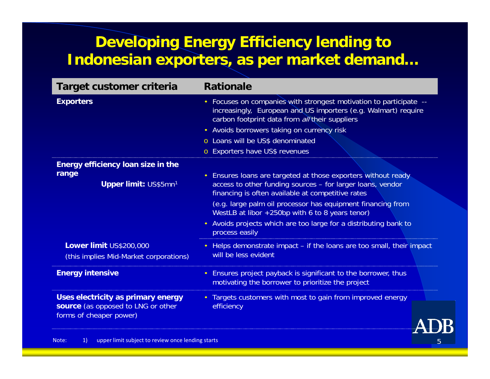### **Developing Energy Efficiency lending to Indonesian exporters, as per market demand…**

| Target customer criteria                                                                            | <b>Rationale</b>                                                                                                                                                                                                                                                                                                                                                                         |
|-----------------------------------------------------------------------------------------------------|------------------------------------------------------------------------------------------------------------------------------------------------------------------------------------------------------------------------------------------------------------------------------------------------------------------------------------------------------------------------------------------|
| <b>Exporters</b>                                                                                    | Focuses on companies with strongest motivation to participate --<br>$\bullet$<br>increasingly, European and US importers (e.g. Walmart) require<br>carbon footprint data from all their suppliers<br>• Avoids borrowers taking on currency risk<br>o Loans will be US\$ denominated<br>o Exporters have US\$ revenues                                                                    |
| <b>Energy efficiency loan size in the</b>                                                           |                                                                                                                                                                                                                                                                                                                                                                                          |
| range<br>Upper limit: US\$5mn1                                                                      | • Ensures loans are targeted at those exporters without ready<br>access to other funding sources - for larger loans, vendor<br>financing is often available at competitive rates<br>(e.g. large palm oil processor has equipment financing from<br>WestLB at libor +250bp with 6 to 8 years tenor)<br>• Avoids projects which are too large for a distributing bank to<br>process easily |
| Lower limit US\$200,000<br>(this implies Mid-Market corporations)                                   | Helps demonstrate impact - if the loans are too small, their impact<br>$\bullet$ .<br>will be less evident                                                                                                                                                                                                                                                                               |
| <b>Energy intensive</b>                                                                             | Ensures project payback is significant to the borrower, thus<br>$\bullet$<br>motivating the borrower to prioritize the project                                                                                                                                                                                                                                                           |
| Uses electricity as primary energy<br>source (as opposed to LNG or other<br>forms of cheaper power) | Targets customers with most to gain from improved energy<br>efficiency                                                                                                                                                                                                                                                                                                                   |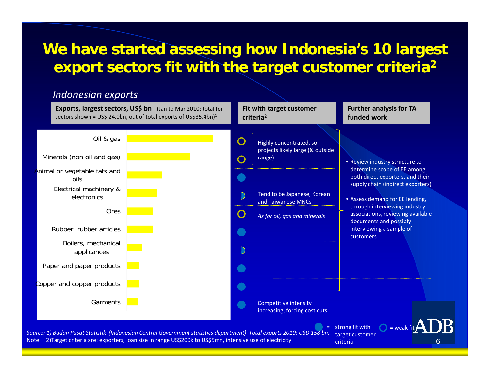#### **We have started assessing how Indonesia's 10 largest export sectors fit with the target customer criteria 2 criteria**

#### *Indonesian exports*

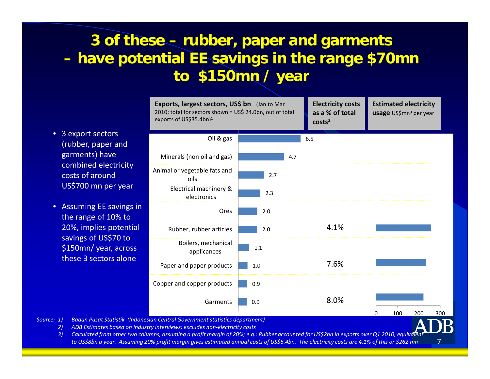#### **3 of these – rubber, paper and garments – have potential EE savings in the range \$70mn to \$ / 150mn / yea r**

- $\bullet$  3 export sectors (rubber, paper and garments) have combined electricity costs of aroundUS\$700 mn per year
- Assuming EE savings in the range of 10% to 20%, implies potential savings of US\$70 to \$150mn/ year, across these 3 sectors alone



7

*Source: 1) Badan Pusat Statistik (Indonesian Central Government statistics department)*

*2) ADB Estimates based on industry interviews; excludes non‐electricity costs*

3) Calculated from other two columns, assuming a profit margin of 20%; e.g.: Rubber accounted for US\$2bn in exports over Q1 2010, equivalen to US\$8bn a year. Assuming 20% profit margin gives estimated annual costs of US\$6.4bn. The electricity costs are 4.1% of this or \$262 mn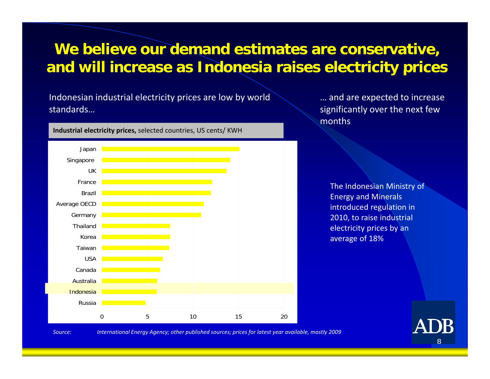#### **We believe our demand estimates are conservative, and will increase as Indonesia raises electricity prices Indonesia electricity prices**

Indonesian industrial electricity prices are low by world standards…

… and are expected to increase significantly over the next few months

The Indonesian Ministry of Energy and Minerals introduced regulation in 2010, to raise industrial electricity prices by an average of 18%



*Source: International Energy Agency; other published sources; prices for latest year available, mostly 2009*

8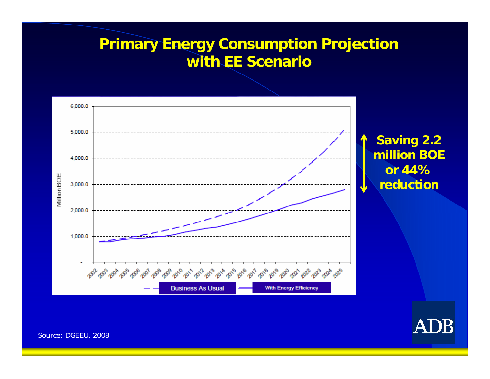### **Primary Energy Consumption Projection with EE Scenario**





Source: DGEEU, 2008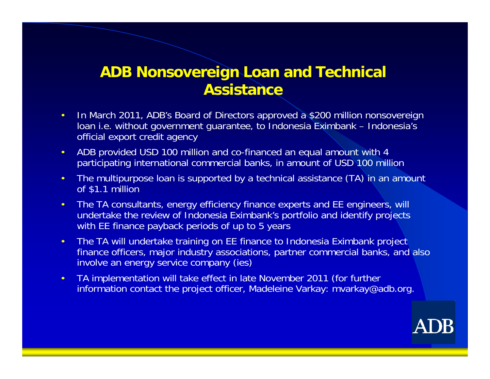#### **ADB Nonsovereign Loan and Technical Loan Assistance**

- •• In March 2011, ADB's Board of Directors approved a \$200 million nonsovereign loan i.e. without government guarantee, to Indonesia Eximbank – Indonesia's official export credit agency
- $\bullet$  ADB provided USD 100 million and co-financed an equal amount with 4 participating international commercial banks, in amount of USD 100 million
- • The multipurpose loan is supported by a technical assistance (TA) in an amount of \$1.1 million
- • The TA consultants, energy efficiency finance experts and EE engineers, will undertake the review of Indonesia Eximbank's portfolio and identify projects with EE finance payback periods of up to 5 years
- • The TA will undertake training on EE finance to Indonesia Eximbank project finance officers, major industry associations, partner commercial banks, and also involve an energy service company (ies)
- • TA implementation will take effect in late November 2011 (for further information contact the project officer, Madeleine Varkay: mvarkay@adb.org.